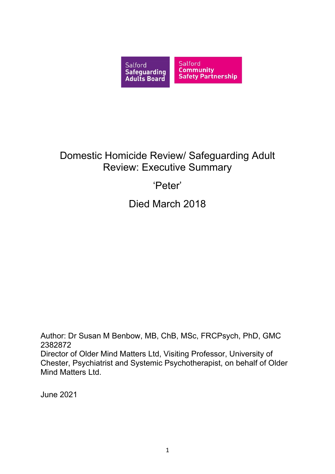

# Domestic Homicide Review/ Safeguarding Adult Review: Executive Summary

# 'Peter'

Died March 2018

Author: Dr Susan M Benbow, MB, ChB, MSc, FRCPsych, PhD, GMC 2382872 Director of Older Mind Matters Ltd, Visiting Professor, University of Chester, Psychiatrist and Systemic Psychotherapist, on behalf of Older Mind Matters Ltd.

June 2021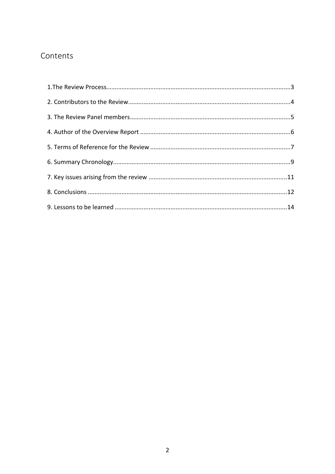## Contents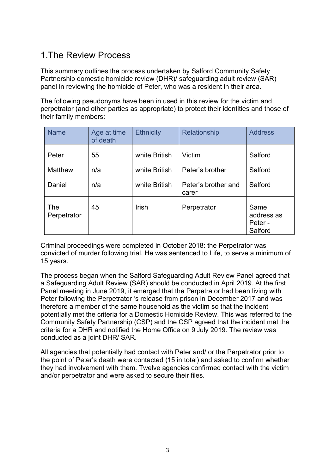## <span id="page-2-0"></span>1.The Review Process

This summary outlines the process undertaken by Salford Community Safety Partnership domestic homicide review (DHR)/ safeguarding adult review (SAR) panel in reviewing the homicide of Peter, who was a resident in their area.

The following pseudonyms have been in used in this review for the victim and perpetrator (and other parties as appropriate) to protect their identities and those of their family members:

| <b>Name</b>        | Age at time<br>of death | <b>Ethnicity</b> | <b>Relationship</b>          | <b>Address</b>                           |
|--------------------|-------------------------|------------------|------------------------------|------------------------------------------|
| Peter              | 55                      | white British    | Victim                       | Salford                                  |
| Matthew            | n/a                     | white British    | Peter's brother              | Salford                                  |
| Daniel             | n/a                     | white British    | Peter's brother and<br>carer | Salford                                  |
| The<br>Perpetrator | 45                      | Irish            | Perpetrator                  | Same<br>address as<br>Peter -<br>Salford |

Criminal proceedings were completed in October 2018: the Perpetrator was convicted of murder following trial. He was sentenced to Life, to serve a minimum of 15 years.

The process began when the Salford Safeguarding Adult Review Panel agreed that a Safeguarding Adult Review (SAR) should be conducted in April 2019. At the first Panel meeting in June 2019, it emerged that the Perpetrator had been living with Peter following the Perpetrator 's release from prison in December 2017 and was therefore a member of the same household as the victim so that the incident potentially met the criteria for a Domestic Homicide Review. This was referred to the Community Safety Partnership (CSP) and the CSP agreed that the incident met the criteria for a DHR and notified the Home Office on 9 July 2019. The review was conducted as a joint DHR/ SAR.

All agencies that potentially had contact with Peter and/ or the Perpetrator prior to the point of Peter's death were contacted (15 in total) and asked to confirm whether they had involvement with them. Twelve agencies confirmed contact with the victim and/or perpetrator and were asked to secure their files.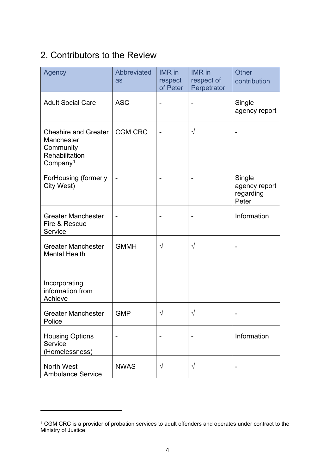## <span id="page-3-0"></span>2. Contributors to the Review

| Agency                                                                                           | <b>Abbreviated</b><br>as | <b>IMR</b> in<br>respect<br>of Peter | <b>IMR</b> in<br>respect of<br>Perpetrator | <b>Other</b><br>contribution                  |
|--------------------------------------------------------------------------------------------------|--------------------------|--------------------------------------|--------------------------------------------|-----------------------------------------------|
| <b>Adult Social Care</b>                                                                         | <b>ASC</b>               |                                      |                                            | Single<br>agency report                       |
| <b>Cheshire and Greater</b><br>Manchester<br>Community<br>Rehabilitation<br>Company <sup>1</sup> | <b>CGM CRC</b>           |                                      | $\sqrt{}$                                  |                                               |
| ForHousing (formerly<br>City West)                                                               |                          |                                      |                                            | Single<br>agency report<br>regarding<br>Peter |
| <b>Greater Manchester</b><br>Fire & Rescue<br>Service                                            |                          |                                      |                                            | Information                                   |
| <b>Greater Manchester</b><br><b>Mental Health</b>                                                | <b>GMMH</b>              | $\sqrt{ }$                           | $\sqrt{}$                                  |                                               |
| Incorporating<br>information from<br>Achieve                                                     |                          |                                      |                                            |                                               |
| <b>Greater Manchester</b><br>Police                                                              | <b>GMP</b>               | $\sqrt{}$                            | $\sqrt{}$                                  |                                               |
| <b>Housing Options</b><br>Service<br>(Homelessness)                                              |                          |                                      |                                            | Information                                   |
| <b>North West</b><br><b>Ambulance Service</b>                                                    | <b>NWAS</b>              | $\sqrt{ }$                           | $\sqrt{ }$                                 |                                               |

<span id="page-3-1"></span> $^{\rm 1}$  CGM CRC is a provider of probation services to adult offenders and operates under contract to the Ministry of Justice.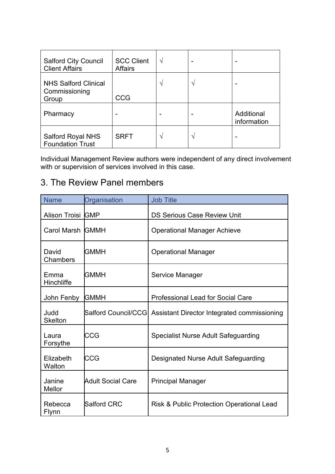| <b>Salford City Council</b><br><b>Client Affairs</b>  | <b>SCC Client</b><br><b>Affairs</b> | N  |                           |
|-------------------------------------------------------|-------------------------------------|----|---------------------------|
| <b>NHS Salford Clinical</b><br>Commissioning<br>Group | <b>CCG</b>                          | ٦  |                           |
| Pharmacy                                              |                                     |    | Additional<br>information |
| <b>Salford Royal NHS</b><br><b>Foundation Trust</b>   | <b>SRFT</b>                         | ٦Ι | -                         |

Individual Management Review authors were independent of any direct involvement with or supervision of services involved in this case.

## <span id="page-4-0"></span>3. The Review Panel members

| <b>Name</b>             | Organisation             | <b>Job Title</b>                                                 |
|-------------------------|--------------------------|------------------------------------------------------------------|
| Alison Troisi GMP       |                          | <b>DS Serious Case Review Unit</b>                               |
| Carol Marsh GMMH        |                          | <b>Operational Manager Achieve</b>                               |
| David<br>Chambers       | GMMH                     | <b>Operational Manager</b>                                       |
| Emma<br>Hinchliffe      | GMMH                     | Service Manager                                                  |
| John Fenby              | <b>GMMH</b>              | <b>Professional Lead for Social Care</b>                         |
| Judd<br><b>Skelton</b>  |                          | Salford Council/CCG  Assistant Director Integrated commissioning |
| Laura<br>Forsythe       | CCG                      | <b>Specialist Nurse Adult Safeguarding</b>                       |
| Elizabeth<br>Walton     | CCG                      | Designated Nurse Adult Safeguarding                              |
| Janine<br>Mellor        | <b>Adult Social Care</b> | <b>Principal Manager</b>                                         |
| Rebecca<br><b>Flynn</b> | <b>Salford CRC</b>       | <b>Risk &amp; Public Protection Operational Lead</b>             |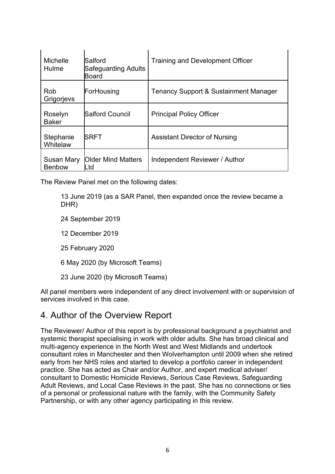| <b>Michelle</b><br>Hulme    | Salford<br><b>Safeguarding Adults</b><br><b>Board</b> | <b>Training and Development Officer</b>          |
|-----------------------------|-------------------------------------------------------|--------------------------------------------------|
| Rob<br>Grigorjevs           | ForHousing                                            | <b>Tenancy Support &amp; Sustainment Manager</b> |
| Roselyn<br><b>Baker</b>     | <b>Salford Council</b>                                | <b>Principal Policy Officer</b>                  |
| Stephanie<br>Whitelaw       | SRFT                                                  | <b>Assistant Director of Nursing</b>             |
| Susan Mary<br><b>Benbow</b> | <b>Older Mind Matters</b><br>.td                      | Independent Reviewer / Author                    |

The Review Panel met on the following dates:

13 June 2019 (as a SAR Panel, then expanded once the review became a DHR)

- 24 September 2019
- 12 December 2019
- 25 February 2020
- 6 May 2020 (by Microsoft Teams)
- 23 June 2020 (by Microsoft Teams)

All panel members were independent of any direct involvement with or supervision of services involved in this case.

## <span id="page-5-0"></span>4. Author of the Overview Report

The Reviewer/ Author of this report is by professional background a psychiatrist and systemic therapist specialising in work with older adults. She has broad clinical and multi-agency experience in the North West and West Midlands and undertook consultant roles in Manchester and then Wolverhampton until 2009 when she retired early from her NHS roles and started to develop a portfolio career in independent practice. She has acted as Chair and/or Author, and expert medical adviser/ consultant to Domestic Homicide Reviews, Serious Case Reviews, Safeguarding Adult Reviews, and Local Case Reviews in the past. She has no connections or ties of a personal or professional nature with the family, with the Community Safety Partnership, or with any other agency participating in this review.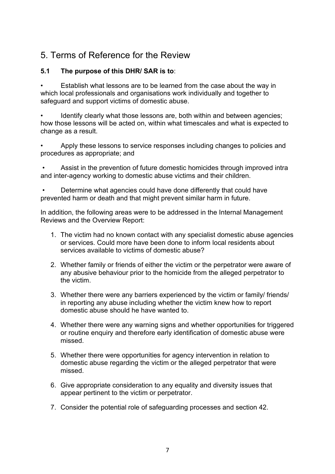## <span id="page-6-0"></span>5. Terms of Reference for the Review

## **5.1 The purpose of this DHR/ SAR is to**:

• Establish what lessons are to be learned from the case about the way in which local professionals and organisations work individually and together to safeguard and support victims of domestic abuse.

Identify clearly what those lessons are, both within and between agencies; how those lessons will be acted on, within what timescales and what is expected to change as a result.

• Apply these lessons to service responses including changes to policies and procedures as appropriate; and

• Assist in the prevention of future domestic homicides through improved intra and inter-agency working to domestic abuse victims and their children.

• Determine what agencies could have done differently that could have prevented harm or death and that might prevent similar harm in future.

In addition, the following areas were to be addressed in the Internal Management Reviews and the Overview Report:

- 1. The victim had no known contact with any specialist domestic abuse agencies or services. Could more have been done to inform local residents about services available to victims of domestic abuse?
- 2. Whether family or friends of either the victim or the perpetrator were aware of any abusive behaviour prior to the homicide from the alleged perpetrator to the victim.
- 3. Whether there were any barriers experienced by the victim or family/ friends/ in reporting any abuse including whether the victim knew how to report domestic abuse should he have wanted to.
- 4. Whether there were any warning signs and whether opportunities for triggered or routine enquiry and therefore early identification of domestic abuse were missed.
- 5. Whether there were opportunities for agency intervention in relation to domestic abuse regarding the victim or the alleged perpetrator that were missed.
- 6. Give appropriate consideration to any equality and diversity issues that appear pertinent to the victim or perpetrator.
- 7. Consider the potential role of safeguarding processes and section 42.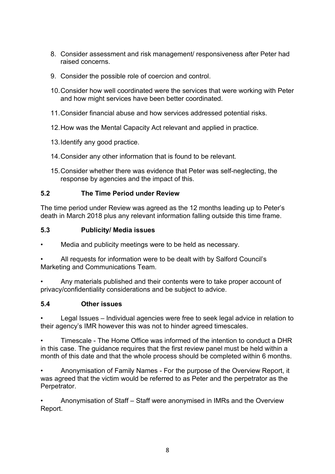- 8. Consider assessment and risk management/ responsiveness after Peter had raised concerns.
- 9. Consider the possible role of coercion and control.
- 10.Consider how well coordinated were the services that were working with Peter and how might services have been better coordinated.
- 11.Consider financial abuse and how services addressed potential risks.
- 12.How was the Mental Capacity Act relevant and applied in practice.
- 13.Identify any good practice.
- 14.Consider any other information that is found to be relevant.
- 15.Consider whether there was evidence that Peter was self-neglecting, the response by agencies and the impact of this.

### **5.2 The Time Period under Review**

The time period under Review was agreed as the 12 months leading up to Peter's death in March 2018 plus any relevant information falling outside this time frame.

### **5.3 Publicity/ Media issues**

Media and publicity meetings were to be held as necessary.

• All requests for information were to be dealt with by Salford Council's Marketing and Communications Team.

• Any materials published and their contents were to take proper account of privacy/confidentiality considerations and be subject to advice.

### **5.4 Other issues**

• Legal Issues – Individual agencies were free to seek legal advice in relation to their agency's IMR however this was not to hinder agreed timescales.

• Timescale - The Home Office was informed of the intention to conduct a DHR in this case. The guidance requires that the first review panel must be held within a month of this date and that the whole process should be completed within 6 months.

• Anonymisation of Family Names - For the purpose of the Overview Report, it was agreed that the victim would be referred to as Peter and the perpetrator as the Perpetrator.

• Anonymisation of Staff – Staff were anonymised in IMRs and the Overview Report.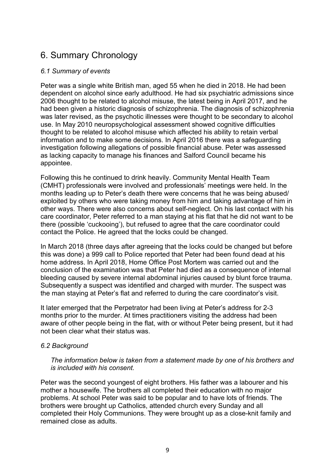## <span id="page-8-0"></span>6. Summary Chronology

### *6.1 Summary of events*

Peter was a single white British man, aged 55 when he died in 2018. He had been dependent on alcohol since early adulthood. He had six psychiatric admissions since 2006 thought to be related to alcohol misuse, the latest being in April 2017, and he had been given a historic diagnosis of schizophrenia. The diagnosis of schizophrenia was later revised, as the psychotic illnesses were thought to be secondary to alcohol use. In May 2010 neuropsychological assessment showed cognitive difficulties thought to be related to alcohol misuse which affected his ability to retain verbal information and to make some decisions. In April 2016 there was a safeguarding investigation following allegations of possible financial abuse. Peter was assessed as lacking capacity to manage his finances and Salford Council became his appointee.

Following this he continued to drink heavily. Community Mental Health Team (CMHT) professionals were involved and professionals' meetings were held. In the months leading up to Peter's death there were concerns that he was being abused/ exploited by others who were taking money from him and taking advantage of him in other ways. There were also concerns about self-neglect. On his last contact with his care coordinator, Peter referred to a man staying at his flat that he did not want to be there (possible 'cuckooing'), but refused to agree that the care coordinator could contact the Police. He agreed that the locks could be changed.

In March 2018 (three days after agreeing that the locks could be changed but before this was done) a 999 call to Police reported that Peter had been found dead at his home address. In April 2018, Home Office Post Mortem was carried out and the conclusion of the examination was that Peter had died as a consequence of internal bleeding caused by severe internal abdominal injuries caused by blunt force trauma. Subsequently a suspect was identified and charged with murder. The suspect was the man staying at Peter's flat and referred to during the care coordinator's visit.

It later emerged that the Perpetrator had been living at Peter's address for 2-3 months prior to the murder. At times practitioners visiting the address had been aware of other people being in the flat, with or without Peter being present, but it had not been clear what their status was.

#### *6.2 Background*

*The information below is taken from a statement made by one of his brothers and is included with his consent.*

Peter was the second youngest of eight brothers. His father was a labourer and his mother a housewife. The brothers all completed their education with no major problems. At school Peter was said to be popular and to have lots of friends. The brothers were brought up Catholics, attended church every Sunday and all completed their Holy Communions. They were brought up as a close-knit family and remained close as adults.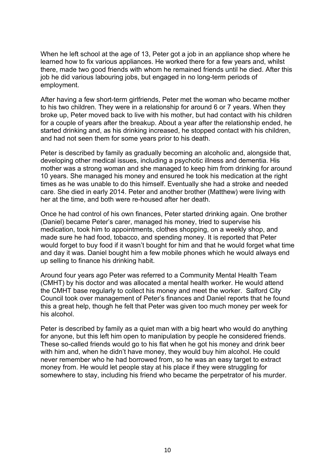When he left school at the age of 13, Peter got a job in an appliance shop where he learned how to fix various appliances. He worked there for a few years and, whilst there, made two good friends with whom he remained friends until he died. After this job he did various labouring jobs, but engaged in no long-term periods of employment.

After having a few short-term girlfriends, Peter met the woman who became mother to his two children. They were in a relationship for around 6 or 7 years. When they broke up, Peter moved back to live with his mother, but had contact with his children for a couple of years after the breakup. About a year after the relationship ended, he started drinking and, as his drinking increased, he stopped contact with his children, and had not seen them for some years prior to his death.

Peter is described by family as gradually becoming an alcoholic and, alongside that, developing other medical issues, including a psychotic illness and dementia. His mother was a strong woman and she managed to keep him from drinking for around 10 years. She managed his money and ensured he took his medication at the right times as he was unable to do this himself. Eventually she had a stroke and needed care. She died in early 2014. Peter and another brother (Matthew) were living with her at the time, and both were re-housed after her death.

Once he had control of his own finances, Peter started drinking again. One brother (Daniel) became Peter's carer, managed his money, tried to supervise his medication, took him to appointments, clothes shopping, on a weekly shop, and made sure he had food, tobacco, and spending money. It is reported that Peter would forget to buy food if it wasn't bought for him and that he would forget what time and day it was. Daniel bought him a few mobile phones which he would always end up selling to finance his drinking habit.

Around four years ago Peter was referred to a Community Mental Health Team (CMHT) by his doctor and was allocated a mental health worker. He would attend the CMHT base regularly to collect his money and meet the worker. Salford City Council took over management of Peter's finances and Daniel reports that he found this a great help, though he felt that Peter was given too much money per week for his alcohol.

<span id="page-9-0"></span>Peter is described by family as a quiet man with a big heart who would do anything for anyone, but this left him open to manipulation by people he considered friends. These so-called friends would go to his flat when he got his money and drink beer with him and, when he didn't have money, they would buy him alcohol. He could never remember who he had borrowed from, so he was an easy target to extract money from. He would let people stay at his place if they were struggling for somewhere to stay, including his friend who became the perpetrator of his murder.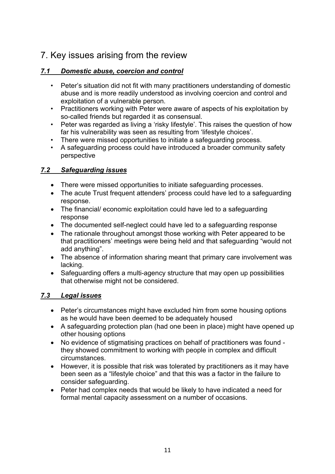## 7. Key issues arising from the review

## *7.1 Domestic abuse, coercion and control*

- Peter's situation did not fit with many practitioners understanding of domestic abuse and is more readily understood as involving coercion and control and exploitation of a vulnerable person.
- Practitioners working with Peter were aware of aspects of his exploitation by so-called friends but regarded it as consensual.
- Peter was regarded as living a 'risky lifestyle'. This raises the question of how far his vulnerability was seen as resulting from 'lifestyle choices'.
- There were missed opportunities to initiate a safeguarding process.
- A safeguarding process could have introduced a broader community safety perspective

## *7.2 Safeguarding issues*

- There were missed opportunities to initiate safeguarding processes.
- The acute Trust frequent attenders' process could have led to a safeguarding response.
- The financial/ economic exploitation could have led to a safeguarding response
- The documented self-neglect could have led to a safeguarding response
- The rationale throughout amongst those working with Peter appeared to be that practitioners' meetings were being held and that safeguarding "would not add anything".
- The absence of information sharing meant that primary care involvement was lacking.
- Safeguarding offers a multi-agency structure that may open up possibilities that otherwise might not be considered.

## *7.3 Legal issues*

- Peter's circumstances might have excluded him from some housing options as he would have been deemed to be adequately housed
- A safeguarding protection plan (had one been in place) might have opened up other housing options
- No evidence of stigmatising practices on behalf of practitioners was found they showed commitment to working with people in complex and difficult circumstances.
- However, it is possible that risk was tolerated by practitioners as it may have been seen as a "lifestyle choice" and that this was a factor in the failure to consider safeguarding.
- Peter had complex needs that would be likely to have indicated a need for formal mental capacity assessment on a number of occasions.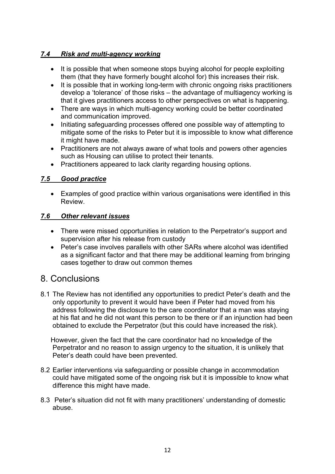## *7.4 Risk and multi-agency working*

- It is possible that when someone stops buying alcohol for people exploiting them (that they have formerly bought alcohol for) this increases their risk.
- It is possible that in working long-term with chronic ongoing risks practitioners develop a 'tolerance' of those risks – the advantage of multiagency working is that it gives practitioners access to other perspectives on what is happening.
- There are ways in which multi-agency working could be better coordinated and communication improved.
- Initiating safeguarding processes offered one possible way of attempting to mitigate some of the risks to Peter but it is impossible to know what difference it might have made.
- Practitioners are not always aware of what tools and powers other agencies such as Housing can utilise to protect their tenants.
- Practitioners appeared to lack clarity regarding housing options.

### *7.5 Good practice*

• Examples of good practice within various organisations were identified in this Review.

#### *7.6 Other relevant issues*

- There were missed opportunities in relation to the Perpetrator's support and supervision after his release from custody
- Peter's case involves parallels with other SARs where alcohol was identified as a significant factor and that there may be additional learning from bringing cases together to draw out common themes

## <span id="page-11-0"></span>8. Conclusions

8.1 The Review has not identified any opportunities to predict Peter's death and the only opportunity to prevent it would have been if Peter had moved from his address following the disclosure to the care coordinator that a man was staying at his flat and he did not want this person to be there or if an injunction had been obtained to exclude the Perpetrator (but this could have increased the risk).

However, given the fact that the care coordinator had no knowledge of the Perpetrator and no reason to assign urgency to the situation, it is unlikely that Peter's death could have been prevented.

- 8.2 Earlier interventions via safeguarding or possible change in accommodation could have mitigated some of the ongoing risk but it is impossible to know what difference this might have made.
- 8.3 Peter's situation did not fit with many practitioners' understanding of domestic abuse.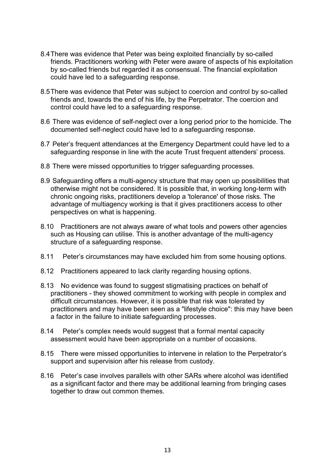- 8.4There was evidence that Peter was being exploited financially by so-called friends. Practitioners working with Peter were aware of aspects of his exploitation by so-called friends but regarded it as consensual. The financial exploitation could have led to a safeguarding response.
- 8.5There was evidence that Peter was subject to coercion and control by so-called friends and, towards the end of his life, by the Perpetrator. The coercion and control could have led to a safeguarding response.
- 8.6 There was evidence of self-neglect over a long period prior to the homicide. The documented self-neglect could have led to a safeguarding response.
- 8.7 Peter's frequent attendances at the Emergency Department could have led to a safeguarding response in line with the acute Trust frequent attenders' process.
- 8.8 There were missed opportunities to trigger safeguarding processes.
- 8.9 Safeguarding offers a multi-agency structure that may open up possibilities that otherwise might not be considered. It is possible that, in working long-term with chronic ongoing risks, practitioners develop a 'tolerance' of those risks. The advantage of multiagency working is that it gives practitioners access to other perspectives on what is happening.
- 8.10 Practitioners are not always aware of what tools and powers other agencies such as Housing can utilise. This is another advantage of the multi-agency structure of a safeguarding response.
- 8.11 Peter's circumstances may have excluded him from some housing options.
- 8.12 Practitioners appeared to lack clarity regarding housing options.
- 8.13 No evidence was found to suggest stigmatising practices on behalf of practitioners - they showed commitment to working with people in complex and difficult circumstances. However, it is possible that risk was tolerated by practitioners and may have been seen as a "lifestyle choice": this may have been a factor in the failure to initiate safeguarding processes.
- 8.14 Peter's complex needs would suggest that a formal mental capacity assessment would have been appropriate on a number of occasions.
- 8.15 There were missed opportunities to intervene in relation to the Perpetrator's support and supervision after his release from custody.
- <span id="page-12-0"></span>8.16 Peter's case involves parallels with other SARs where alcohol was identified as a significant factor and there may be additional learning from bringing cases together to draw out common themes.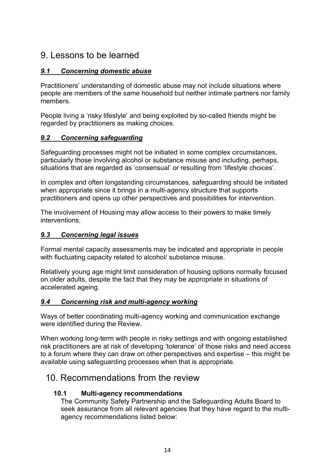## 9. Lessons to be learned

## *9.1 Concerning domestic abuse*

Practitioners' understanding of domestic abuse may not include situations where people are members of the same household but neither intimate partners nor family members.

People living a 'risky lifestyle' and being exploited by so-called friends might be regarded by practitioners as making choices.

### *9.2 Concerning safeguarding*

Safeguarding processes might not be initiated in some complex circumstances, particularly those involving alcohol or substance misuse and including, perhaps, situations that are regarded as 'consensual' or resulting from 'lifestyle choices'.

In complex and often longstanding circumstances, safeguarding should be initiated when appropriate since it brings in a multi-agency structure that supports practitioners and opens up other perspectives and possibilities for intervention.

The involvement of Housing may allow access to their powers to make timely interventions.

#### *9.3 Concerning legal issues*

Formal mental capacity assessments may be indicated and appropriate in people with fluctuating capacity related to alcohol/ substance misuse.

Relatively young age might limit consideration of housing options normally focused on older adults, despite the fact that they may be appropriate in situations of accelerated ageing.

### *9.4 Concerning risk and multi-agency working*

Ways of better coordinating multi-agency working and communication exchange were identified during the Review.

When working long-term with people in risky settings and with ongoing established risk practitioners are at risk of developing 'tolerance' of those risks and need access to a forum where they can draw on other perspectives and expertise – this might be available using safeguarding processes when that is appropriate.

## 10. Recommendations from the review

### **10.1 Multi-agency recommendations**

The Community Safety Partnership and the Safeguarding Adults Board to seek assurance from all relevant agencies that they have regard to the multiagency recommendations listed below: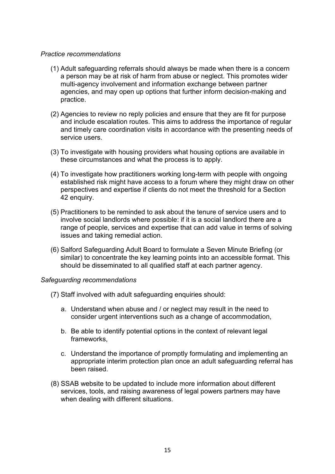#### *Practice recommendations*

- (1) Adult safeguarding referrals should always be made when there is a concern a person may be at risk of harm from abuse or neglect. This promotes wider multi-agency involvement and information exchange between partner agencies, and may open up options that further inform decision-making and practice.
- (2) Agencies to review no reply policies and ensure that they are fit for purpose and include escalation routes. This aims to address the importance of regular and timely care coordination visits in accordance with the presenting needs of service users.
- (3) To investigate with housing providers what housing options are available in these circumstances and what the process is to apply.
- (4) To investigate how practitioners working long-term with people with ongoing established risk might have access to a forum where they might draw on other perspectives and expertise if clients do not meet the threshold for a Section 42 enquiry.
- (5) Practitioners to be reminded to ask about the tenure of service users and to involve social landlords where possible: if it is a social landlord there are a range of people, services and expertise that can add value in terms of solving issues and taking remedial action.
- (6) Salford Safeguarding Adult Board to formulate a Seven Minute Briefing (or similar) to concentrate the key learning points into an accessible format. This should be disseminated to all qualified staff at each partner agency.

#### *Safeguarding recommendations*

- (7) Staff involved with adult safeguarding enquiries should:
	- a. Understand when abuse and / or neglect may result in the need to consider urgent interventions such as a change of accommodation,
	- b. Be able to identify potential options in the context of relevant legal frameworks,
	- c. Understand the importance of promptly formulating and implementing an appropriate interim protection plan once an adult safeguarding referral has been raised.
- (8) SSAB website to be updated to include more information about different services, tools, and raising awareness of legal powers partners may have when dealing with different situations.